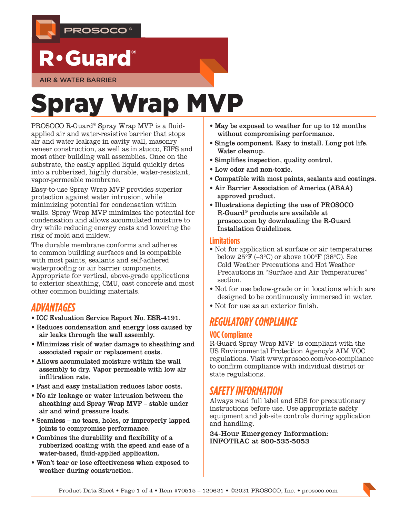

## R•Guard®

AIR & WATER BARRIER

# Spray Wrap MVP

PROSOCO R-Guard® Spray Wrap MVP is a fluidapplied air and water-resistive barrier that stops air and water leakage in cavity wall, masonry veneer construction, as well as in stucco, EIFS and most other building wall assemblies. Once on the substrate, the easily applied liquid quickly dries into a rubberized, highly durable, water-resistant, vapor-permeable membrane.

Easy-to-use Spray Wrap MVP provides superior protection against water intrusion, while minimizing potential for condensation within walls. Spray Wrap MVP minimizes the potential for condensation and allows accumulated moisture to dry while reducing energy costs and lowering the risk of mold and mildew.

The durable membrane conforms and adheres to common building surfaces and is compatible with most paints, sealants and self-adhered waterproofing or air barrier components. Appropriate for vertical, above-grade applications to exterior sheathing, CMU, cast concrete and most other common building materials.

## *ADVANTAGES*

- [ICC Evaluation Service Report No. ESR-4](https://icc-es.org/report-listing/esr-4191/)191.
- Reduces condensation and energy loss caused by air leaks through the wall assembly.
- Minimizes risk of water damage to sheathing and associated repair or replacement costs.
- Allows accumulated moisture within the wall assembly to dry. Vapor permeable with low air infiltration rate.
- Fast and easy installation reduces labor costs.
- No air leakage or water intrusion between the sheathing and Spray Wrap MVP – stable under air and wind pressure loads.
- Seamless no tears, holes, or improperly lapped joints to compromise performance.
- Combines the durability and flexibility of a rubberized coating with the speed and ease of a water-based, fluid-applied application.
- Won't tear or lose effectiveness when exposed to weather during construction.
- May be exposed to weather for up to 12 months without compromising performance.
- Single component. Easy to install. Long pot life. Water cleanup.
- Simplifies inspection, quality control.
- Low odor and non-toxic.
- Compatible with most paints, sealants and coatings.
- Air Barrier Association of America (ABAA) approved product.
- Illustrations depicting the use of PROSOCO R-Guard® products are available at [prosoco.com](http://www.prosoco.com) by downloading the [R-Guard](https://prosoco.com/products/air-water-barriers/resources/)  [Installation Guidelines.](https://prosoco.com/products/air-water-barriers/resources/)

#### **Limitations**

- Not for application at surface or air temperatures below  $25^{\circ}$ F (-3°C) or above 100°F (38°C). See Cold Weather Precautions and Hot Weather Precautions in "Surface and Air Temperatures" section.
- Not for use below-grade or in locations which are designed to be continuously immersed in water.
- Not for use as an exterior finish.

## *REGULATORY COMPLIANCE*

#### **VOC Compliance**

R-Guard Spray Wrap MVP is compliant with the US Environmental Protection Agency's AIM VOC regulations. Visit [www.prosoco.com/voc-compliance](http://www.prosoco.com/voccompliance) to confirm compliance with individual district or state regulations.

## *SAFETY INFORMATION*

Always read full label and SDS for precautionary instructions before use. Use appropriate safety equipment and job-site controls during application and handling.

24-Hour Emergency Information: INFOTRAC at 800-535-5053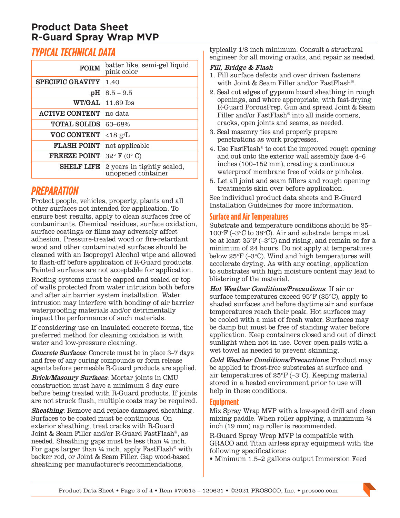## **Product Data Sheet R-Guard Spray Wrap MVP**

## *TYPICAL TECHNICAL DATA*

| <b>FORM</b>             | batter like, semi-gel liquid<br>pink color       |  |
|-------------------------|--------------------------------------------------|--|
| <b>SPECIFIC GRAVITY</b> | 1.40                                             |  |
| pН                      | $8.5 - 9.5$                                      |  |
| <b>WT/GAL</b>           | $11.69$ lbs                                      |  |
| <b>ACTIVE CONTENT</b>   | no data                                          |  |
| <b>TOTAL SOLIDS</b>     | 63-68%                                           |  |
| <b>VOC CONTENT</b>      | $<$ 18 g/L                                       |  |
| <b>FLASH POINT</b>      | not applicable                                   |  |
| <b>FREEZE POINT</b>     | $32^{\circ}$ F (0° C)                            |  |
| <b>SHELF LIFE</b>       | 2 years in tightly sealed,<br>unopened container |  |

## *PREPARATION*

Protect people, vehicles, property, plants and all other surfaces not intended for application. To ensure best results, apply to clean surfaces free of contaminants. Chemical residues, surface oxidation, surface coatings or films may adversely affect adhesion. Pressure-treated wood or fire-retardant wood and other contaminated surfaces should be cleaned with an Isopropyl Alcohol wipe and allowed to flash-off before application of R-Guard products. Painted surfaces are not acceptable for application.

Roofing systems must be capped and sealed or top of walls protected from water intrusion both before and after air barrier system installation. Water intrusion may interfere with bonding of air barrier waterproofing materials and/or detrimentally impact the performance of such materials.

If considering use on insulated concrete forms, the preferred method for cleaning oxidation is with water and low-pressure cleaning.

Concrete Surfaces: Concrete must be in place 3–7 days and free of any curing compounds or form release agents before permeable R-Guard products are applied.

Brick/Masonry Surfaces: Mortar joints in CMU construction must have a minimum 3 day cure before being treated with R-Guard products. If joints are not struck flush, multiple coats may be required.

Sheathing: Remove and replace damaged sheathing. Surfaces to be coated must be continuous. On exterior sheathing, treat cracks with R-Guard Joint & Seam Filler and/or R-Guard FastFlash®, as needed. Sheathing gaps must be less than ¼ inch. For gaps larger than  $\frac{1}{4}$  inch, apply FastFlash<sup>®</sup> with backer rod, or Joint & Seam Filler. Gap wood-based sheathing per manufacturer's recommendations,

typically 1/8 inch minimum. Consult a structural engineer for all moving cracks, and repair as needed.

#### Fill, Bridge & Flash

- 1. Fill surface defects and over driven fasteners with Joint & Seam Filler and/or FastFlash®.
- 2. Seal cut edges of gypsum board sheathing in rough openings, and where appropriate, with fast-drying R-Guard PorousPrep. Gun and spread Joint & Seam Filler and/or FastFlash<sup>®</sup> into all inside corners, cracks, open joints and seams, as needed.
- 3. Seal masonry ties and properly prepare penetrations as work progresses.
- 4. Use FastFlash® to coat the improved rough opening and out onto the exterior wall assembly face 4–6 inches (100–152 mm), creating a continuous waterproof membrane free of voids or pinholes.
- 5. Let all joint and seam fillers and rough opening treatments skin over before application.

See individual product data sheets and [R-Guard](http://www.prosoco.com/r-guard-installation-guidelines/)  [Installation Guidelines](http://www.prosoco.com/r-guard-installation-guidelines/) for more information.

#### **Surface and Air Temperatures**

Substrate and temperature conditions should be 25– 100°F (–3°C to 38°C). Air and substrate temps must be at least 25°F (–3°C) and rising, and remain so for a minimum of 24 hours. Do not apply at temperatures below 25°F (–3°C). Wind and high temperatures will accelerate drying. As with any coating, application to substrates with high moisture content may lead to blistering of the material.

Hot Weather Conditions/Precautions: If air or surface temperatures exceed 95°F (35°C), apply to shaded surfaces and before daytime air and surface temperatures reach their peak. Hot surfaces may be cooled with a mist of fresh water. Surfaces may be damp but must be free of standing water before application. Keep containers closed and out of direct sunlight when not in use. Cover open pails with a wet towel as needed to prevent skinning.

Cold Weather Conditions/Precautions: Product may be applied to frost-free substrates at surface and air temperatures of 25°F (–3°C). Keeping material stored in a heated environment prior to use will help in these conditions.

#### **Equipment**

Mix Spray Wrap MVP with a low-speed drill and clean mixing paddle. When roller applying, a maximum ¾ inch (19 mm) nap roller is recommended.

R-Guard Spray Wrap MVP is compatible with GRACO and Titan airless spray equipment with the following specifications:

• Minimum 1.5–2 gallons output Immersion Feed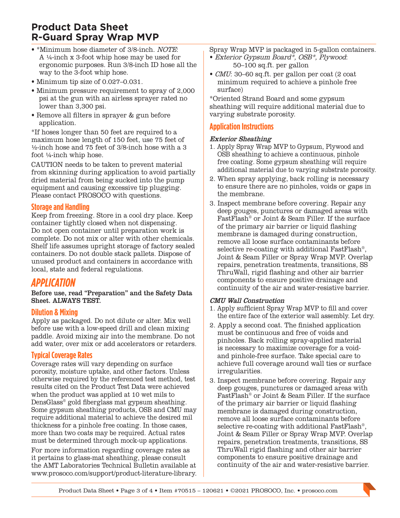## **Product Data Sheet R-Guard Spray Wrap MVP**

- \*Minimum hose diameter of 3/8-inch. NOTE: A ¼-inch x 3-foot whip hose may be used for ergonomic purposes. Run 3/8-inch ID hose all the way to the 3-foot whip hose.
- Minimum tip size of 0.027–0.031.
- Minimum pressure requirement to spray of 2,000 psi at the gun with an airless sprayer rated no lower than 3,300 psi.
- Remove all filters in sprayer & gun before application.

\*If hoses longer than 50 feet are required to a maximum hose length of 150 feet, use 75 feet of ½-inch hose and 75 feet of 3/8-inch hose with a 3 foot ¼-inch whip hose.

CAUTION needs to be taken to prevent material from skinning during application to avoid partially dried material from being sucked into the pump equipment and causing excessive tip plugging. Please contact PROSOCO with questions.

#### **Storage and Handling**

Keep from freezing. Store in a cool dry place. Keep container tightly closed when not dispensing. Do not open container until preparation work is complete. Do not mix or alter with other chemicals. Shelf life assumes upright storage of factory sealed containers. Do not double stack pallets. Dispose of unused product and containers in accordance with local, state and federal regulations.

## *APPLICATION*

Before use, read "Preparation" and the Safety Data Sheet. ALWAYS TEST.

#### **Dilution & Mixing**

Apply as packaged. Do not dilute or alter. Mix well before use with a low-speed drill and clean mixing paddle. Avoid mixing air into the membrane. Do not add water, over mix or add accelerators or retarders.

#### **Typical Coverage Rates**

Coverage rates will vary depending on surface porosity, moisture uptake, and other factors. Unless otherwise required by the referenced test method, test results cited on the Product Test Data were achieved when the product was applied at 10 wet mils to DensGlass® gold fiberglass mat gypsum sheathing. Some gypsum sheathing products, OSB and CMU may require additional material to achieve the desired mil thickness for a pinhole free coating. In those cases, more than two coats may be required. Actual rates must be determined through mock-up applications. For more information regarding coverage rates as it pertains to glass-mat sheathing, please consult the [AMT Laboratories Technical Bulletin](https://prosoco.com/app/uploads/2018/11/coating-problems-caused-by-differences-in-glass-mat-sheathing-tech-note.pdf) available at [www.prosoco.com/s](http://www.prosoco.com/literature-library/)upport/product-literature-library.

Spray Wrap MVP is packaged in 5-gallon containers.

- Exterior Gypsum Board\*, OSB\*, Plywood: 50–100 [sq.ft.](http://sq.ft) per gallon
- CMU: 30–60 [sq.ft.](http://sq.ft) per gallon per coat (2 coat minimum required to achieve a pinhole free surface)

\*Oriented Strand Board and some gypsum sheathing will require additional material due to varying substrate porosity.

#### **Application Instructions**

#### Exterior Sheathing

- 1. Apply Spray Wrap MVP to Gypsum, Plywood and OSB sheathing to achieve a continuous, pinhole free coating. Some gypsum sheathing will require additional material due to varying substrate porosity.
- 2. When spray applying, back rolling is necessary to ensure there are no pinholes, voids or gaps in the membrane.
- 3. Inspect membrane before covering. Repair any deep gouges, punctures or damaged areas with FastFlash® or Joint & Seam Filler. If the surface of the primary air barrier or liquid flashing membrane is damaged during construction, remove all loose surface contaminants before selective re-coating with additional FastFlash®, Joint & Seam Filler or Spray Wrap MVP. Overlap repairs, penetration treatments, transitions, SS ThruWall, rigid flashing and other air barrier components to ensure positive drainage and continuity of the air and water-resistive barrier.

#### CMU Wall Construction

- 1. Apply sufficient Spray Wrap MVP to fill and cover the entire face of the exterior wall assembly. Let dry.
- 2. Apply a second coat. The finished application must be continuous and free of voids and pinholes. Back rolling spray-applied material is necessary to maximize coverage for a voidand pinhole-free surface. Take special care to achieve full coverage around wall ties or surface irregularities.
- 3. Inspect membrane before covering. Repair any deep gouges, punctures or damaged areas with FastFlash® or Joint & Seam Filler. If the surface of the primary air barrier or liquid flashing membrane is damaged during construction, remove all loose surface contaminants before selective re-coating with additional FastFlash®, Joint & Seam Filler or Spray Wrap MVP. Overlap repairs, penetration treatments, transitions, SS ThruWall rigid flashing and other air barrier components to ensure positive drainage and continuity of the air and water-resistive barrier.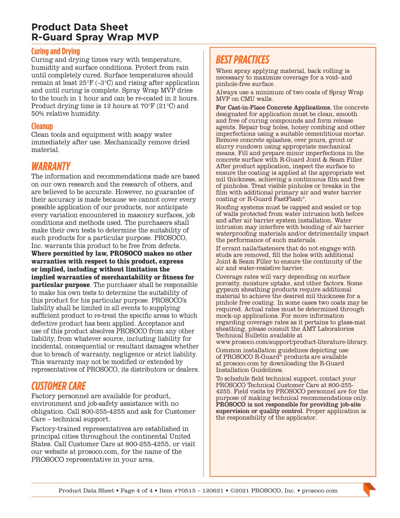## **Product Data Sheet R-Guard Spray Wrap MVP**

#### **Curing and Drying**

Curing and drying times vary with temperature, humidity and surface conditions. Protect from rain until completely cured. Surface temperatures should remain at least 25°F (–3°C) and rising after application and until curing is complete. Spray Wrap MVP dries to the touch in 1 hour and can be re-coated in 2 hours. Product drying time is 12 hours at 70°F (21°C) and 50% relative humidity.

#### **Cleanup**

Clean tools and equipment with soapy water immediately after use. Mechanically remove dried material.

### *WARRANTY*

The information and recommendations made are based on our own research and the research of others, and are believed to be accurate. However, no guarantee of their accuracy is made because we cannot cover every possible application of our products, nor anticipate every variation encountered in masonry surfaces, job conditions and methods used. The purchasers shall make their own tests to determine the suitability of such products for a particular purpose. PROSOCO, Inc. warrants this product to be free from defects. **Where permitted by law, PROSOCO makes no other warranties with respect to this product, express or implied, including without limitation the implied warranties of merchantability or fitness for particular purpose**. The purchaser shall be responsible to make his own tests to determine the suitability of this product for his particular purpose. PROSOCO's liability shall be limited in all events to supplying sufficient product to re-treat the specific areas to which defective product has been applied. Acceptance and use of this product absolves PROSOCO from any other liability, from whatever source, including liability for incidental, consequential or resultant damages whether due to breach of warranty, negligence or strict liability. This warranty may not be modified or extended by representatives of PROSOCO, its distributors or dealers.

## *CUSTOMER CARE*

Factory personnel are available for product, environment and job-safety assistance with no obligation. Call 800-255-4255 and ask for Customer Care – technical support.

Factory-trained representatives are established in principal cities throughout the continental United States. Call Customer Care at 800-255-4255, or visit our website at [prosoco.com](http://www.prosoco.com), for the name of the PROSOCO representative in your area.

## *BEST PRACTICES*

When spray applying material, back rolling is necessary to maximize coverage for a void- and pinhole-free surface.

Always use a minimum of two coats of Spray Wrap MVP on CMU walls.

For Cast-in-Place Concrete Applications, the concrete designated for application must be clean, smooth and free of curing compounds and form release agents. Repair bug holes, honey combing and other imperfections using a suitable cementitious mortar. Remove concrete splashes, over pours, grout or slurry rundown using appropriate mechanical means. Fill and prepare minor imperfections in the concrete surface with R-Guard Joint & Seam Filler. After product application, inspect the surface to ensure the coating is applied at the appropriate wet mil thickness, achieving a continuous film and free of pinholes. Treat visible pinholes or breaks in the film with additional primary air and water barrier coating or R-Guard FastFlash®.

Roofing systems must be capped and sealed or top of walls protected from water intrusion both before and after air barrier system installation. Water intrusion may interfere with bonding of air barrier waterproofing materials and/or detrimentally impact the performance of such materials.

If errant nails/fasteners that do not engage with studs are removed, fill the holes with additional Joint & Seam Filler to ensure the continuity of the air and water-resistive barrier.

Coverage rates will vary depending on surface porosity, moisture uptake, and other factors. Some gypsum sheathing products require additional material to achieve the desired mil thickness for a pinhole free coating. In some cases two coats may be required. Actual rates must be determined through mock-up applications. For more information regarding coverage rates as it pertains to glass-mat sheathing, please consult the [AMT Laboratories](https://prosoco.com/app/uploads/2018/11/coating-problems-caused-by-differences-in-glass-mat-sheathing-tech-note.pdf)  [Technical Bulletin](https://prosoco.com/app/uploads/2018/11/coating-problems-caused-by-differences-in-glass-mat-sheathing-tech-note.pdf) available at

[www.prosoco.com/](http://www.prosoco.com/literature-library)support/product-literature-library. Common installation guidelines depicting use

of PROSOCO R-Guard® products are available at [prosoco.com](http://www.prosoco.com) by downloading the [R-Guard](https://prosoco.com/products/air-water-barriers/resources/)  [Installation Guidelines](https://prosoco.com/products/air-water-barriers/resources/).

To schedule field technical support, contact your PROSOCO Technical Customer Care at 800-255- 4255. Field visits by PROSOCO personnel are for the purpose of making technical recommendations only. PROSOCO is not responsible for providing job-site supervision or quality control. Proper application is the responsibility of the applicator.